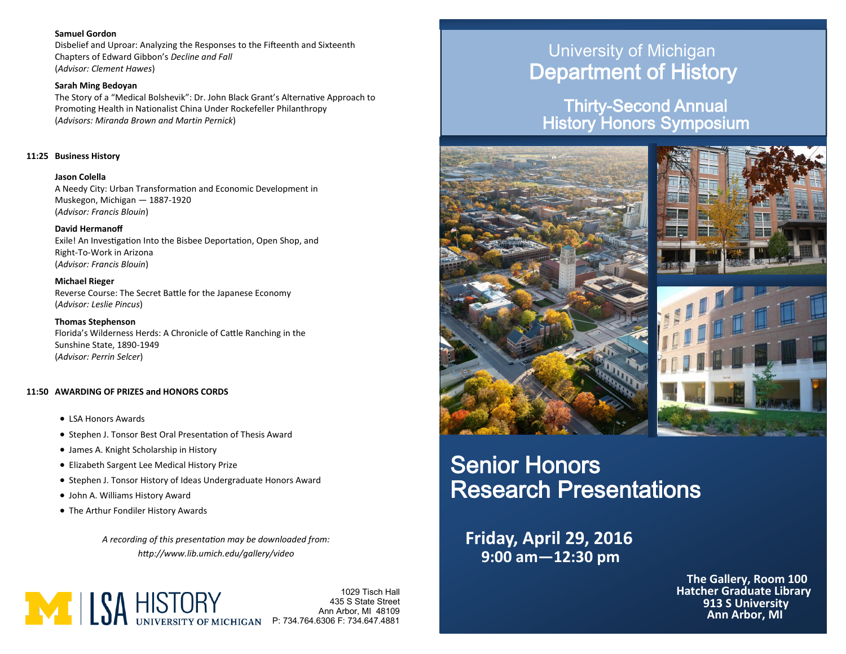#### **Samuel Gordon**

Disbelief and Uproar: Analyzing the Responses to the Fifteenth and Sixteenth Chapters of Edward Gibbon's *Decline and Fall* (*Advisor: Clement Hawes*)

#### **Sarah Ming Bedoyan**

The Story of a "Medical Bolshevik": Dr. John Black Grant's Alternative Approach to Promoting Health in Nationalist China Under Rockefeller Philanthropy (*Advisors: Miranda Brown and Martin Pernick*)

#### **11:25 Business History**

**Jason Colella** A Needy City: Urban Transformation and Economic Development in Muskegon, Michigan — 1887-1920 (*Advisor: Francis Blouin*)

#### **David Hermanoff**

Exile! An Investigation Into the Bisbee Deportation, Open Shop, and Right-To-Work in Arizona (*Advisor: Francis Blouin*)

**Michael Rieger** Reverse Course: The Secret Battle for the Japanese Economy (*Advisor: Leslie Pincus*)

**Thomas Stephenson** Florida's Wilderness Herds: A Chronicle of Cattle Ranching in the Sunshine State, 1890-1949 (*Advisor: Perrin Selcer*)

#### **11:50 AWARDING OF PRIZES and HONORS CORDS**

- LSA Honors Awards
- Stephen J. Tonsor Best Oral Presentation of Thesis Award
- James A. Knight Scholarship in History
- Elizabeth Sargent Lee Medical History Prize
- Stephen J. Tonsor History of Ideas Undergraduate Honors Award
- John A. Williams History Award
- The Arthur Fondiler History Awards

*A recording of this presentation may be downloaded from: http://www.lib.umich.edu/gallery/video*



Ann Arbor, MI 48109 435 S State Street P: 734.764.6306 F: 734.647.4881

## University of Michigan Department of History

Thirty-Second Annual History Honors Symposium



# Senior Honors Research Presentations

**9:00 am—12:30 pm Friday, April 29, 2016**

> **The Gallery, Room 100 Ann Arbor, MI 913 S University Hatcher Graduate Library**